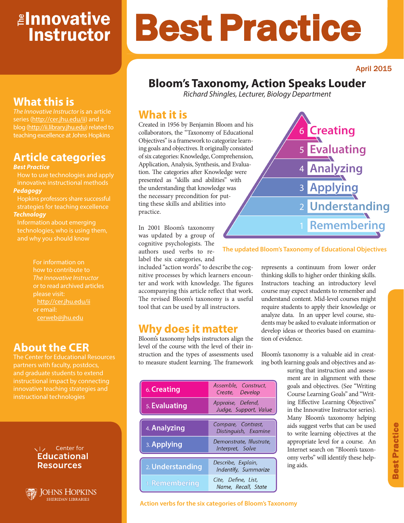# <mark>≇Innovative</mark> Instructor

#### April 2015

# **Bloom's Taxonomy, Action Speaks Louder**

*Richard Shingles, Lecturer, Biology Department*

Best Practice

### **What it is**

Created in 1956 by Benjamin Bloom and his collaborators, the "Taxonomy of Educational Objectives" is a framework to categorize learning goals and objectives. It originally consisted of six categories: Knowledge, Comprehension, Application, Analysis, Synthesis, and Evaluation. The categories after Knowledge were presented as "skills and abilities" with the understanding that knowledge was the necessary precondition for putting these skills and abilities into practice.

In 2001 Bloom's taxonomy was updated by a group of cognitive psychologists. The authors used verbs to relabel the six categories, and

included "action words" to describe the cognitive processes by which learners encounter and work with knowledge. The figures accompanying this article reflect that work. The revised Bloom's taxonomy is a useful tool that can be used by all instructors.

### **Why does it matter**

Bloom's taxonomy helps instructors align the level of the course with the level of their instruction and the types of assessments used to measure student learning. The framework

| 6. Creating      | Assemble, Construct,<br>Create, Develop      |
|------------------|----------------------------------------------|
| 5. Evaluating    | Appraise, Defend,<br>Judge, Support, Value   |
|                  |                                              |
| 4. Analyzing     | Compare, Contrast,<br>Distinguish, Examine   |
| 3. Applying      | Demonstrate, Illustrate,<br>Interpret, Solve |
|                  |                                              |
| 2. Understanding | Describe, Explain,<br>Indentify, Summarize   |
| 1. Remembering   | Cite, Define, List,<br>Name, Recall, State   |



**The updated Bloom's Taxonomy of Educational Objectives**

represents a continuum from lower order thinking skills to higher order thinking skills. Instructors teaching an introductory level course may expect students to remember and understand content. Mid-level courses might require students to apply their knowledge or analyze data. In an upper level course, students may be asked to evaluate information or develop ideas or theories based on examination of evidence.

Bloom's taxonomy is a valuable aid in creating both learning goals and objectives and as-

> suring that instruction and assessment are in alignment with these goals and objectives. (See "Writing Course Learning Goals" and "Writing Effective Learning Objectives" in the Innovative Instructor series). Many Bloom's taxonomy helping aids suggest verbs that can be used to write learning objectives at the appropriate level for a course. An Internet search on "Bloom's taxonomy verbs" will identify these helping aids.

# **What this is**

*The Innovative Instructor* is an article series (http://cer.jhu.edu/ii) and a blog (http://ii.library.jhu.edu) related to teaching excellence at Johns Hopkins

# **Article categories**

#### *Best Practice*

How to use technologies and apply innovative instructional methods *Pedagogy*

Hopkins professors share successful strategies for teaching excellence *Technology*

Information about emerging technologies, who is using them, and why you should know

> For information on how to contribute to *The Innovative Instructor* or to read archived articles please visit: http://cer.jhu.edu/ii or email: cerweb@jhu.edu

### **About the CER**

The Center for Educational Resources and graduate students to extend innovative teaching strategies and instructional technologies

#### VI<sub>z</sub> Center for **Educational Resources**